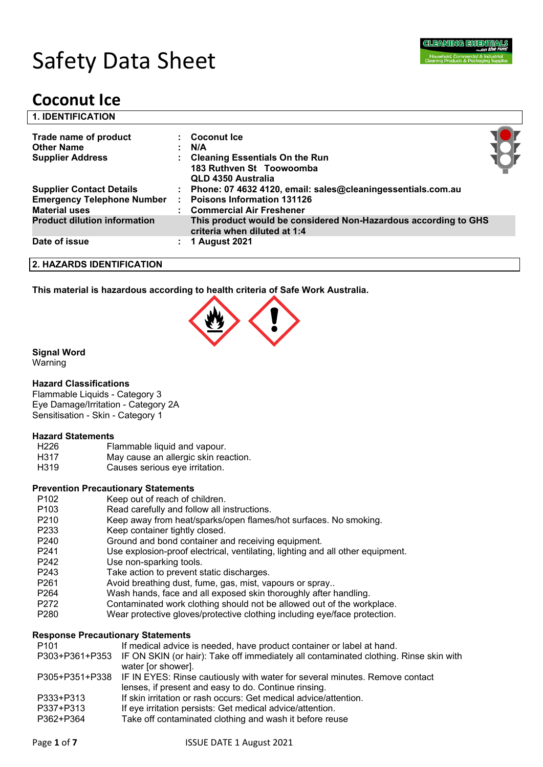

# Safety Data Sheet

# **Coconut Ice**

| <b>1. IDENTIFICATION</b>                                                                     |   |                                                                                                                                                        |  |
|----------------------------------------------------------------------------------------------|---|--------------------------------------------------------------------------------------------------------------------------------------------------------|--|
| Trade name of product<br><b>Other Name</b><br><b>Supplier Address</b>                        |   | $\therefore$ Coconut Ice<br>N/A<br><b>Cleaning Essentials On the Run</b><br>183 Ruthven St Toowoomba                                                   |  |
| <b>Supplier Contact Details</b><br><b>Emergency Telephone Number</b><br><b>Material uses</b> |   | QLD 4350 Australia<br>: Phone: 07 4632 4120, email: sales@cleaningessentials.com.au<br><b>Poisons Information 131126</b><br>: Commercial Air Freshener |  |
| <b>Product dilution information</b>                                                          |   | This product would be considered Non-Hazardous according to GHS<br>criteria when diluted at 1:4                                                        |  |
| Date of issue                                                                                | ÷ | <b>1 August 2021</b>                                                                                                                                   |  |
| 2. HAZARDS IDENTIFICATION                                                                    |   |                                                                                                                                                        |  |

**This material is hazardous according to health criteria of Safe Work Australia.**



#### **Signal Word**

Warning

#### **Hazard Classifications**

Flammable Liquids - Category 3 Eye Damage/Irritation - Category 2A Sensitisation - Skin - Category 1

#### **Hazard Statements**

| H226         | Flammable liquid and vapour.                                                                                                                                                                                                   |
|--------------|--------------------------------------------------------------------------------------------------------------------------------------------------------------------------------------------------------------------------------|
| . <b>.</b> . | A A construction of the contract of the construction of the construction of the construction of the construction of the construction of the construction of the construction of the construction of the construction of the co |

- H317 May cause an allergic skin reaction.
- H319 Causes serious eye irritation.

#### **Prevention Precautionary Statements**

- P102 Keep out of reach of children.
- P103 Read carefully and follow all instructions.
- P210 Keep away from heat/sparks/open flames/hot surfaces. No smoking.
- P233 Keep container tightly closed.
- P240 Ground and bond container and receiving equipment.
- P241 Use explosion-proof electrical, ventilating, lighting and all other equipment.
- P242 Use non-sparking tools.
- P243 Take action to prevent static discharges.
- P261 Avoid breathing dust, fume, gas, mist, vapours or spray..
- P264 Wash hands, face and all exposed skin thoroughly after handling.
- P272 Contaminated work clothing should not be allowed out of the workplace.
- P280 Wear protective gloves/protective clothing including eye/face protection.

#### **Response Precautionary Statements**

| P <sub>101</sub> | If medical advice is needed, have product container or label at hand.                                |
|------------------|------------------------------------------------------------------------------------------------------|
|                  | P303+P361+P353 IF ON SKIN (or hair): Take off immediately all contaminated clothing. Rinse skin with |
|                  | water for shower.                                                                                    |
|                  | P305+P351+P338 IF IN EYES: Rinse cautiously with water for several minutes. Remove contact           |
|                  | lenses, if present and easy to do. Continue rinsing.                                                 |
| P333+P313        | If skin irritation or rash occurs: Get medical advice/attention.                                     |
| P337+P313        | If eye irritation persists: Get medical advice/attention.                                            |
| P362+P364        | Take off contaminated clothing and wash it before reuse                                              |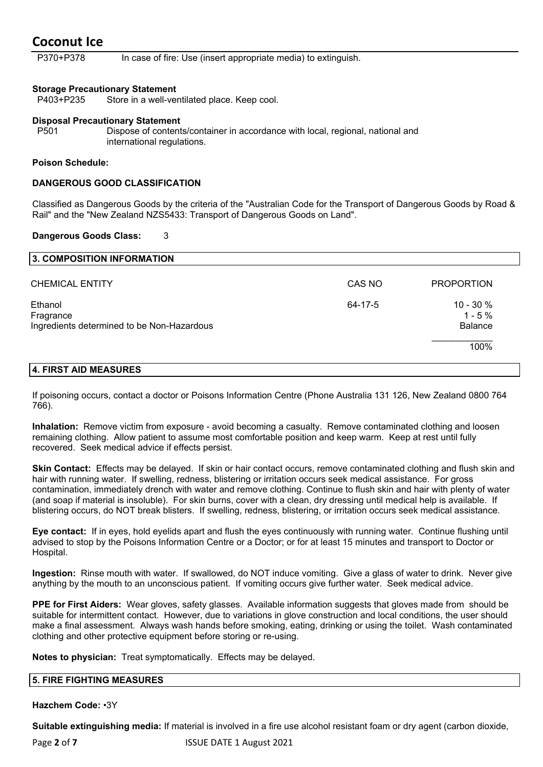P370+P378 In case of fire: Use (insert appropriate media) to extinguish.

#### **Storage Precautionary Statement**

P403+P235 Store in a well-ventilated place. Keep cool.

#### **Disposal Precautionary Statement**

P501 Dispose of contents/container in accordance with local, regional, national and international regulations.

#### **Poison Schedule:**

#### **DANGEROUS GOOD CLASSIFICATION**

Classified as Dangerous Goods by the criteria of the "Australian Code for the Transport of Dangerous Goods by Road & Rail" and the "New Zealand NZS5433: Transport of Dangerous Goods on Land".

#### **Dangerous Goods Class:** 3

| 3. COMPOSITION INFORMATION                                         |         |                                           |
|--------------------------------------------------------------------|---------|-------------------------------------------|
| <b>CHEMICAL ENTITY</b>                                             | CAS NO  | <b>PROPORTION</b>                         |
| Ethanol<br>Fragrance<br>Ingredients determined to be Non-Hazardous | 64-17-5 | $10 - 30 %$<br>$1 - 5%$<br><b>Balance</b> |
|                                                                    |         | 100%                                      |
| 4. FIRST AID MEASURES                                              |         |                                           |

If poisoning occurs, contact a doctor or Poisons Information Centre (Phone Australia 131 126, New Zealand 0800 764 766).

**Inhalation:** Remove victim from exposure - avoid becoming a casualty. Remove contaminated clothing and loosen remaining clothing. Allow patient to assume most comfortable position and keep warm. Keep at rest until fully recovered. Seek medical advice if effects persist.

**Skin Contact:** Effects may be delayed. If skin or hair contact occurs, remove contaminated clothing and flush skin and hair with running water. If swelling, redness, blistering or irritation occurs seek medical assistance. For gross contamination, immediately drench with water and remove clothing. Continue to flush skin and hair with plenty of water (and soap if material is insoluble). For skin burns, cover with a clean, dry dressing until medical help is available. If blistering occurs, do NOT break blisters. If swelling, redness, blistering, or irritation occurs seek medical assistance.

**Eye contact:** If in eyes, hold eyelids apart and flush the eyes continuously with running water. Continue flushing until advised to stop by the Poisons Information Centre or a Doctor; or for at least 15 minutes and transport to Doctor or Hospital.

**Ingestion:** Rinse mouth with water. If swallowed, do NOT induce vomiting. Give a glass of water to drink. Never give anything by the mouth to an unconscious patient. If vomiting occurs give further water. Seek medical advice.

**PPE for First Aiders:** Wear gloves, safety glasses. Available information suggests that gloves made from should be suitable for intermittent contact. However, due to variations in glove construction and local conditions, the user should make a final assessment. Always wash hands before smoking, eating, drinking or using the toilet. Wash contaminated clothing and other protective equipment before storing or re-using.

**Notes to physician:** Treat symptomatically. Effects may be delayed.

#### **5. FIRE FIGHTING MEASURES**

**Hazchem Code:** •3Y

**Suitable extinguishing media:** If material is involved in a fire use alcohol resistant foam or dry agent (carbon dioxide,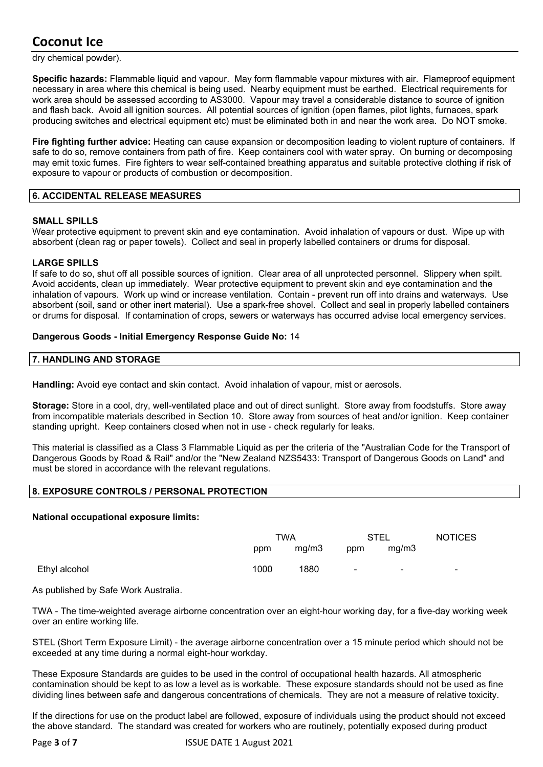dry chemical powder).

**Specific hazards:** Flammable liquid and vapour. May form flammable vapour mixtures with air. Flameproof equipment necessary in area where this chemical is being used. Nearby equipment must be earthed. Electrical requirements for work area should be assessed according to AS3000. Vapour may travel a considerable distance to source of ignition and flash back. Avoid all ignition sources. All potential sources of ignition (open flames, pilot lights, furnaces, spark producing switches and electrical equipment etc) must be eliminated both in and near the work area. Do NOT smoke.

**Fire fighting further advice:** Heating can cause expansion or decomposition leading to violent rupture of containers. If safe to do so, remove containers from path of fire. Keep containers cool with water spray. On burning or decomposing may emit toxic fumes. Fire fighters to wear self-contained breathing apparatus and suitable protective clothing if risk of exposure to vapour or products of combustion or decomposition.

#### **6. ACCIDENTAL RELEASE MEASURES**

#### **SMALL SPILLS**

Wear protective equipment to prevent skin and eye contamination. Avoid inhalation of vapours or dust. Wipe up with absorbent (clean rag or paper towels). Collect and seal in properly labelled containers or drums for disposal.

#### **LARGE SPILLS**

If safe to do so, shut off all possible sources of ignition. Clear area of all unprotected personnel. Slippery when spilt. Avoid accidents, clean up immediately. Wear protective equipment to prevent skin and eye contamination and the inhalation of vapours. Work up wind or increase ventilation. Contain - prevent run off into drains and waterways. Use absorbent (soil, sand or other inert material). Use a spark-free shovel. Collect and seal in properly labelled containers or drums for disposal. If contamination of crops, sewers or waterways has occurred advise local emergency services.

#### **Dangerous Goods - Initial Emergency Response Guide No:** 14

#### **7. HANDLING AND STORAGE**

**Handling:** Avoid eye contact and skin contact. Avoid inhalation of vapour, mist or aerosols.

**Storage:** Store in a cool, dry, well-ventilated place and out of direct sunlight. Store away from foodstuffs. Store away from incompatible materials described in Section 10. Store away from sources of heat and/or ignition. Keep container standing upright. Keep containers closed when not in use - check regularly for leaks.

This material is classified as a Class 3 Flammable Liquid as per the criteria of the "Australian Code for the Transport of Dangerous Goods by Road & Rail" and/or the "New Zealand NZS5433: Transport of Dangerous Goods on Land" and must be stored in accordance with the relevant regulations.

#### **8. EXPOSURE CONTROLS / PERSONAL PROTECTION**

#### **National occupational exposure limits:**

|               | TWA  |       | STEL   |        | <b>NOTICES</b> |
|---------------|------|-------|--------|--------|----------------|
|               | ppm  | mg/m3 | ppm    | mq/m3  |                |
| Ethyl alcohol | 1000 | 1880  | $\sim$ | $\sim$ | -              |

As published by Safe Work Australia.

TWA - The time-weighted average airborne concentration over an eight-hour working day, for a five-day working week over an entire working life.

STEL (Short Term Exposure Limit) - the average airborne concentration over a 15 minute period which should not be exceeded at any time during a normal eight-hour workday.

These Exposure Standards are guides to be used in the control of occupational health hazards. All atmospheric contamination should be kept to as low a level as is workable. These exposure standards should not be used as fine dividing lines between safe and dangerous concentrations of chemicals. They are not a measure of relative toxicity.

If the directions for use on the product label are followed, exposure of individuals using the product should not exceed the above standard. The standard was created for workers who are routinely, potentially exposed during product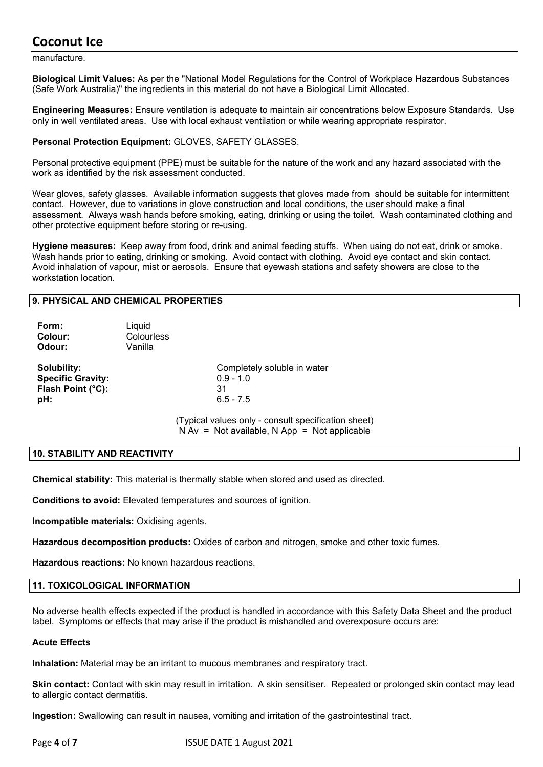manufacture.

**Biological Limit Values:** As per the "National Model Regulations for the Control of Workplace Hazardous Substances (Safe Work Australia)" the ingredients in this material do not have a Biological Limit Allocated.

**Engineering Measures:** Ensure ventilation is adequate to maintain air concentrations below Exposure Standards. Use only in well ventilated areas. Use with local exhaust ventilation or while wearing appropriate respirator.

#### **Personal Protection Equipment:** GLOVES, SAFETY GLASSES.

Personal protective equipment (PPE) must be suitable for the nature of the work and any hazard associated with the work as identified by the risk assessment conducted.

Wear gloves, safety glasses. Available information suggests that gloves made from should be suitable for intermittent contact. However, due to variations in glove construction and local conditions, the user should make a final assessment. Always wash hands before smoking, eating, drinking or using the toilet. Wash contaminated clothing and other protective equipment before storing or re-using.

**Hygiene measures:** Keep away from food, drink and animal feeding stuffs. When using do not eat, drink or smoke. Wash hands prior to eating, drinking or smoking. Avoid contact with clothing. Avoid eye contact and skin contact. Avoid inhalation of vapour, mist or aerosols. Ensure that eyewash stations and safety showers are close to the workstation location.

#### **9. PHYSICAL AND CHEMICAL PROPERTIES**

| Form:<br>Colour:<br>Odour:                                          | Liquid<br>Colourless<br>Vanilla |                                                                                                       |
|---------------------------------------------------------------------|---------------------------------|-------------------------------------------------------------------------------------------------------|
| Solubility:<br><b>Specific Gravity:</b><br>Flash Point (°C):<br>pH: |                                 | Completely soluble in water<br>$0.9 - 1.0$<br>31<br>$6.5 - 7.5$                                       |
|                                                                     |                                 | (Typical values only - consult specification sheet)<br>$N Av = Not available, N App = Not applicable$ |

#### **10. STABILITY AND REACTIVITY**

**Chemical stability:** This material is thermally stable when stored and used as directed.

**Conditions to avoid:** Elevated temperatures and sources of ignition.

**Incompatible materials:** Oxidising agents.

**Hazardous decomposition products:** Oxides of carbon and nitrogen, smoke and other toxic fumes.

**Hazardous reactions:** No known hazardous reactions.

#### **11. TOXICOLOGICAL INFORMATION**

No adverse health effects expected if the product is handled in accordance with this Safety Data Sheet and the product label. Symptoms or effects that may arise if the product is mishandled and overexposure occurs are:

#### **Acute Effects**

**Inhalation:** Material may be an irritant to mucous membranes and respiratory tract.

**Skin contact:** Contact with skin may result in irritation. A skin sensitiser. Repeated or prolonged skin contact may lead to allergic contact dermatitis.

**Ingestion:** Swallowing can result in nausea, vomiting and irritation of the gastrointestinal tract.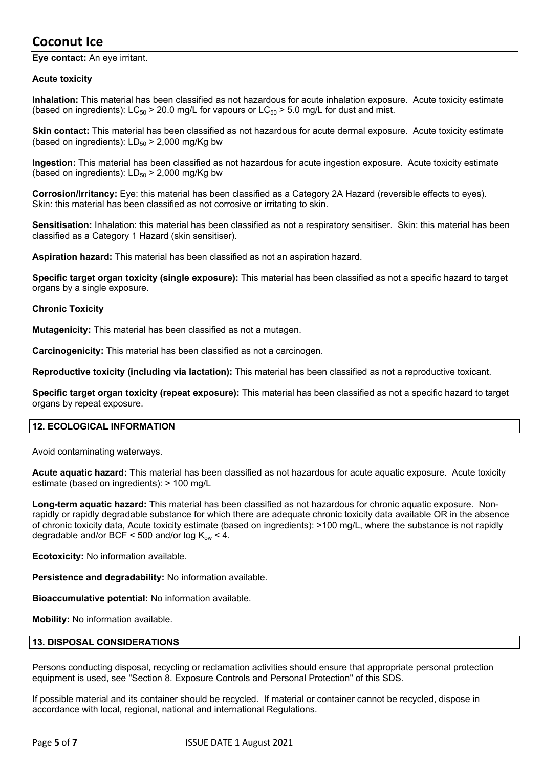**Eye contact:** An eye irritant.

#### **Acute toxicity**

**Inhalation:** This material has been classified as not hazardous for acute inhalation exposure. Acute toxicity estimate (based on ingredients):  $LC_{50}$  > 20.0 mg/L for vapours or  $LC_{50}$  > 5.0 mg/L for dust and mist.

**Skin contact:** This material has been classified as not hazardous for acute dermal exposure. Acute toxicity estimate (based on ingredients):  $LD_{50}$  > 2,000 mg/Kg bw

**Ingestion:** This material has been classified as not hazardous for acute ingestion exposure. Acute toxicity estimate (based on ingredients):  $LD_{50}$  > 2,000 mg/Kg bw

**Corrosion/Irritancy:** Eye: this material has been classified as a Category 2A Hazard (reversible effects to eyes). Skin: this material has been classified as not corrosive or irritating to skin.

**Sensitisation:** Inhalation: this material has been classified as not a respiratory sensitiser. Skin: this material has been classified as a Category 1 Hazard (skin sensitiser).

**Aspiration hazard:** This material has been classified as not an aspiration hazard.

**Specific target organ toxicity (single exposure):** This material has been classified as not a specific hazard to target organs by a single exposure.

#### **Chronic Toxicity**

**Mutagenicity:** This material has been classified as not a mutagen.

**Carcinogenicity:** This material has been classified as not a carcinogen.

**Reproductive toxicity (including via lactation):** This material has been classified as not a reproductive toxicant.

**Specific target organ toxicity (repeat exposure):** This material has been classified as not a specific hazard to target organs by repeat exposure.

#### **12. ECOLOGICAL INFORMATION**

Avoid contaminating waterways.

**Acute aquatic hazard:** This material has been classified as not hazardous for acute aquatic exposure. Acute toxicity estimate (based on ingredients): > 100 mg/L

**Long-term aquatic hazard:** This material has been classified as not hazardous for chronic aquatic exposure. Nonrapidly or rapidly degradable substance for which there are adequate chronic toxicity data available OR in the absence of chronic toxicity data, Acute toxicity estimate (based on ingredients): >100 mg/L, where the substance is not rapidly degradable and/or BCF < 500 and/or log  $K_{\text{ow}}$  < 4.

**Ecotoxicity:** No information available.

**Persistence and degradability:** No information available.

**Bioaccumulative potential:** No information available.

**Mobility:** No information available.

#### **13. DISPOSAL CONSIDERATIONS**

Persons conducting disposal, recycling or reclamation activities should ensure that appropriate personal protection equipment is used, see "Section 8. Exposure Controls and Personal Protection" of this SDS.

If possible material and its container should be recycled. If material or container cannot be recycled, dispose in accordance with local, regional, national and international Regulations.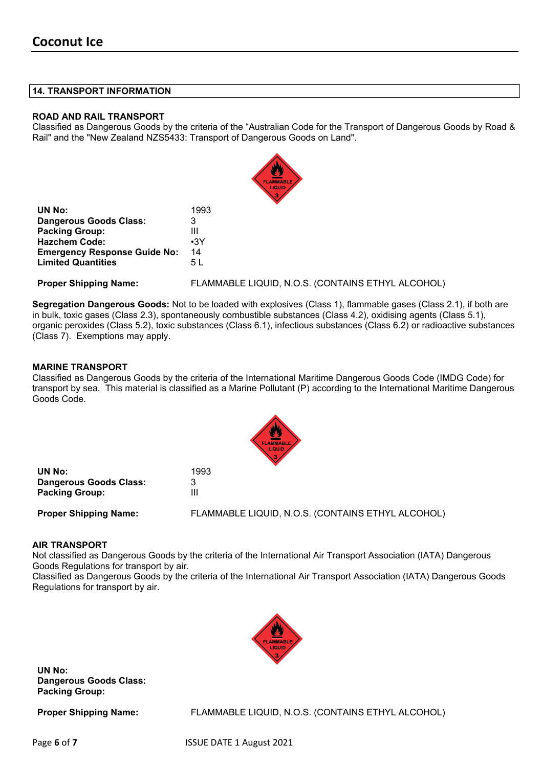#### **14. TRANSPORT INFORMATION**

#### **ROAD AND RAIL TRANSPORT**

Classified as Dangerous Goods by the criteria of the "Australian Code for the Transport of Dangerous Goods by Road & Rail" and the "New Zealand NZS5433: Transport of Dangerous Goods on Land".

|                                     | <b>FLAMMABLE</b><br>LIQUID                        |
|-------------------------------------|---------------------------------------------------|
| UN No:                              | 1993                                              |
| <b>Dangerous Goods Class:</b>       | 3                                                 |
| <b>Packing Group:</b>               | Ш                                                 |
| <b>Hazchem Code:</b>                | $\cdot$ 3Y                                        |
| <b>Emergency Response Guide No:</b> | 14                                                |
| <b>Limited Quantities</b>           | 5 L                                               |
| <b>Proper Shipping Name:</b>        | FLAMMABLE LIQUID, N.O.S. (CONTAINS ETHYL ALCOHOL) |

**Segregation Dangerous Goods:** Not to be loaded with explosives (Class 1), flammable gases (Class 2.1), if both are in bulk, toxic gases (Class 2.3), spontaneously combustible substances (Class 4.2), oxidising agents (Class 5.1), organic peroxides (Class 5.2), toxic substances (Class 6.1), infectious substances (Class 6.2) or radioactive substances (Class 7). Exemptions may apply.

#### **MARINE TRANSPORT**

Classified as Dangerous Goods by the criteria of the International Maritime Dangerous Goods Code (IMDG Code) for transport by sea. This material is classified as a Marine Pollutant (P) according to the International Maritime Dangerous Goods Code.

|                               | $\sqrt{3}$                                        |
|-------------------------------|---------------------------------------------------|
| UN No:                        | 1993                                              |
| <b>Dangerous Goods Class:</b> | 3                                                 |
| <b>Packing Group:</b>         |                                                   |
| <b>Proper Shipping Name:</b>  | FLAMMABLE LIQUID, N.O.S. (CONTAINS ETHYL ALCOHOL) |

#### **AIR TRANSPORT**

Not classified as Dangerous Goods by the criteria of the International Air Transport Association (IATA) Dangerous Goods Regulations for transport by air.

Classified as Dangerous Goods by the criteria of the International Air Transport Association (IATA) Dangerous Goods Regulations for transport by air.



**UN No: Dangerous Goods Class: Packing Group:**

**Proper Shipping Name:** FLAMMABLE LIQUID, N.O.S. (CONTAINS ETHYL ALCOHOL)

Page **6** of **7** ISSUE DATE 1 August 2021